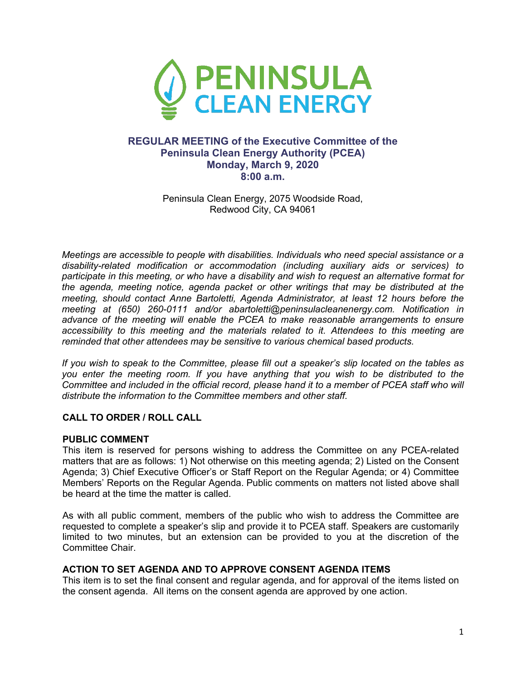

# **REGULAR MEETING of the Executive Committee of the Peninsula Clean Energy Authority (PCEA) Monday, March 9, 2020 8:00 a.m.**

Peninsula Clean Energy, 2075 Woodside Road, Redwood City, CA 94061

*Meetings are accessible to people with disabilities. Individuals who need special assistance or a disability-related modification or accommodation (including auxiliary aids or services) to participate in this meeting, or who have a disability and wish to request an alternative format for the agenda, meeting notice, agenda packet or other writings that may be distributed at the meeting, should contact Anne Bartoletti, Agenda Administrator, at least 12 hours before the meeting at (650) 260-0111 and/or abartoletti@peninsulacleanenergy.com. Notification in advance of the meeting will enable the PCEA to make reasonable arrangements to ensure accessibility to this meeting and the materials related to it. Attendees to this meeting are reminded that other attendees may be sensitive to various chemical based products.*

*If you wish to speak to the Committee, please fill out a speaker's slip located on the tables as you enter the meeting room. If you have anything that you wish to be distributed to the Committee and included in the official record, please hand it to a member of PCEA staff who will distribute the information to the Committee members and other staff.*

# **CALL TO ORDER / ROLL CALL**

#### **PUBLIC COMMENT**

This item is reserved for persons wishing to address the Committee on any PCEA-related matters that are as follows: 1) Not otherwise on this meeting agenda; 2) Listed on the Consent Agenda; 3) Chief Executive Officer's or Staff Report on the Regular Agenda; or 4) Committee Members' Reports on the Regular Agenda. Public comments on matters not listed above shall be heard at the time the matter is called.

As with all public comment, members of the public who wish to address the Committee are requested to complete a speaker's slip and provide it to PCEA staff. Speakers are customarily limited to two minutes, but an extension can be provided to you at the discretion of the Committee Chair.

#### **ACTION TO SET AGENDA AND TO APPROVE CONSENT AGENDA ITEMS**

This item is to set the final consent and regular agenda, and for approval of the items listed on the consent agenda. All items on the consent agenda are approved by one action.